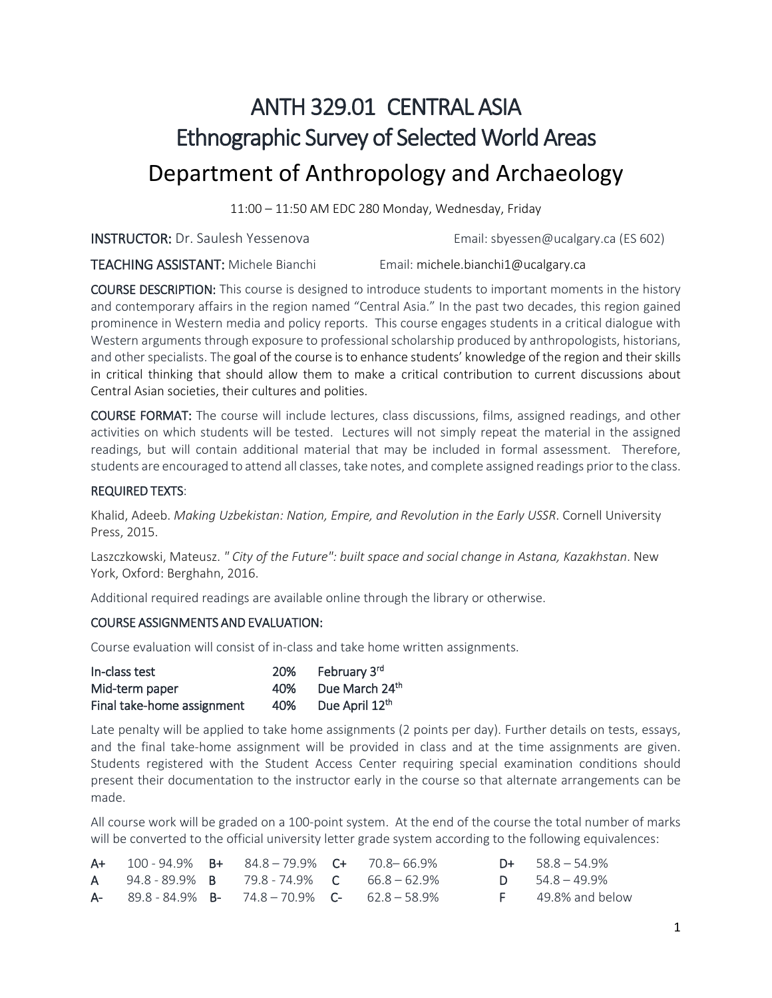# ANTH 329.01 CENTRAL ASIA Ethnographic Survey of Selected World Areas Department of Anthropology and Archaeology

11:00 – 11:50 AM EDC 280 Monday, Wednesday, Friday

**INSTRUCTOR:** Dr. Saulesh Yessenova **Email[: sbyessen@ucalgary.ca](mailto:sbyessen@ucalgary.ca)** (ES 602)

TEACHING ASSISTANT: Michele Bianchi Email: michele.bianchi1@ucalgary.ca

COURSE DESCRIPTION: This course is designed to introduce students to important moments in the history and contemporary affairs in the region named "Central Asia." In the past two decades, this region gained prominence in Western media and policy reports. This course engages students in a critical dialogue with Western arguments through exposure to professional scholarship produced by anthropologists, historians, and other specialists. The goal of the course is to enhance students' knowledge of the region and their skills in critical thinking that should allow them to make a critical contribution to current discussions about Central Asian societies, their cultures and polities.

COURSE FORMAT: The course will include lectures, class discussions, films, assigned readings, and other activities on which students will be tested. Lectures will not simply repeat the material in the assigned readings, but will contain additional material that may be included in formal assessment. Therefore, students are encouraged to attend all classes, take notes, and complete assigned readings prior to the class.

#### REQUIRED TEXTS:

Khalid, Adeeb. *Making Uzbekistan: Nation, Empire, and Revolution in the Early USSR*. Cornell University Press, 2015.

Laszczkowski, Mateusz. *" City of the Future": built space and social change in Astana, Kazakhstan*. New York, Oxford: Berghahn, 2016.

Additional required readings are available online through the library or otherwise.

#### COURSE ASSIGNMENTS AND EVALUATION:

Course evaluation will consist of in-class and take home written assignments.

| In-class test              | <b>20%</b> | February 3rd               |
|----------------------------|------------|----------------------------|
| Mid-term paper             | 40%        | Due March 24th             |
| Final take-home assignment | 40%        | Due April 12 <sup>th</sup> |

Late penalty will be applied to take home assignments (2 points per day). Further details on tests, essays, and the final take-home assignment will be provided in class and at the time assignments are given. Students registered with the Student Access Center requiring special examination conditions should present their documentation to the instructor early in the course so that alternate arrangements can be made.

All course work will be graded on a 100-point system. At the end of the course the total number of marks will be converted to the official university letter grade system according to the following equivalences:

|  | $A+$ 100 - 94.9% $B+$ 84.8 - 79.9% $C+$ 70.8 - 66.9%              |  | $D+ 58.8 - 54.9%$        |
|--|-------------------------------------------------------------------|--|--------------------------|
|  | <b>A</b> 94.8 - 89.9% <b>B</b> 79.8 - 74.9% <b>C</b> 66.8 - 62.9% |  | <b>D</b> $54.8 - 49.9\%$ |
|  | $A-$ 89.8 - 84.9% $B-$ 74.8 - 70.9% C- 62.8 - 58.9%               |  | $F = 49.8\%$ and below   |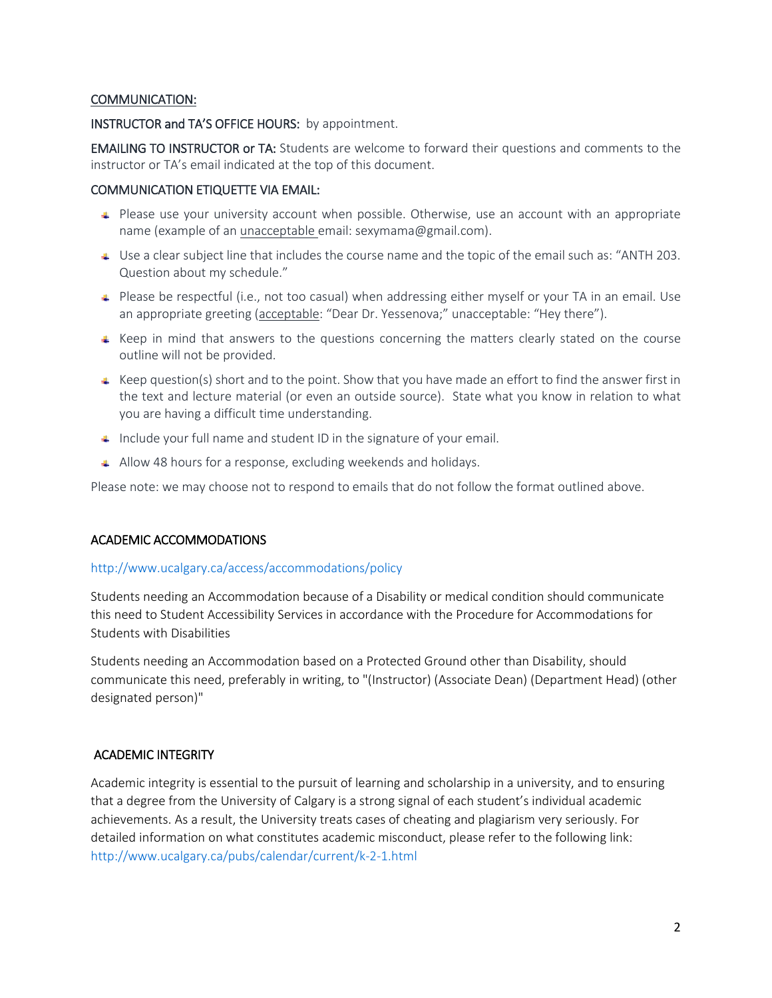#### COMMUNICATION:

#### INSTRUCTOR and TA'S OFFICE HOURS: by appointment.

EMAILING TO INSTRUCTOR or TA: Students are welcome to forward their questions and comments to the instructor or TA's email indicated at the top of this document.

#### COMMUNICATION ETIQUETTE VIA EMAIL:

- Please use your university account when possible. Otherwise, use an account with an appropriate name (example of an unacceptable email: [sexymama@gmail.com\)](mailto:sexymama@gmail.com).
- $\downarrow$  Use a clear subject line that includes the course name and the topic of the email such as: "ANTH 203. Question about my schedule."
- Please be respectful (i.e., not too casual) when addressing either myself or your TA in an email. Use an appropriate greeting (acceptable: "Dear Dr. Yessenova;" unacceptable: "Hey there").
- $\textcolor{red}{\bullet}$  Keep in mind that answers to the questions concerning the matters clearly stated on the course outline will not be provided.
- $\textcolor{red}{\bullet}$  Keep question(s) short and to the point. Show that you have made an effort to find the answer first in the text and lecture material (or even an outside source). State what you know in relation to what you are having a difficult time understanding.
- $\Box$  Include your full name and student ID in the signature of your email.
- Allow 48 hours for a response, excluding weekends and holidays.

Please note: we may choose not to respond to emails that do not follow the format outlined above.

## ACADEMIC ACCOMMODATIONS

#### <http://www.ucalgary.ca/access/accommodations/policy>

Students needing an Accommodation because of a Disability or medical condition should communicate this need to Student Accessibility Services in accordance with the Procedure for Accommodations for Students with Disabilities

Students needing an Accommodation based on a Protected Ground other than Disability, should communicate this need, preferably in writing, to "(Instructor) (Associate Dean) (Department Head) (other designated person)"

## ACADEMIC INTEGRITY

Academic integrity is essential to the pursuit of learning and scholarship in a university, and to ensuring that a degree from the University of Calgary is a strong signal of each student's individual academic achievements. As a result, the University treats cases of cheating and plagiarism very seriously. For detailed information on what constitutes academic misconduct, please refer to the following link: <http://www.ucalgary.ca/pubs/calendar/current/k-2-1.html>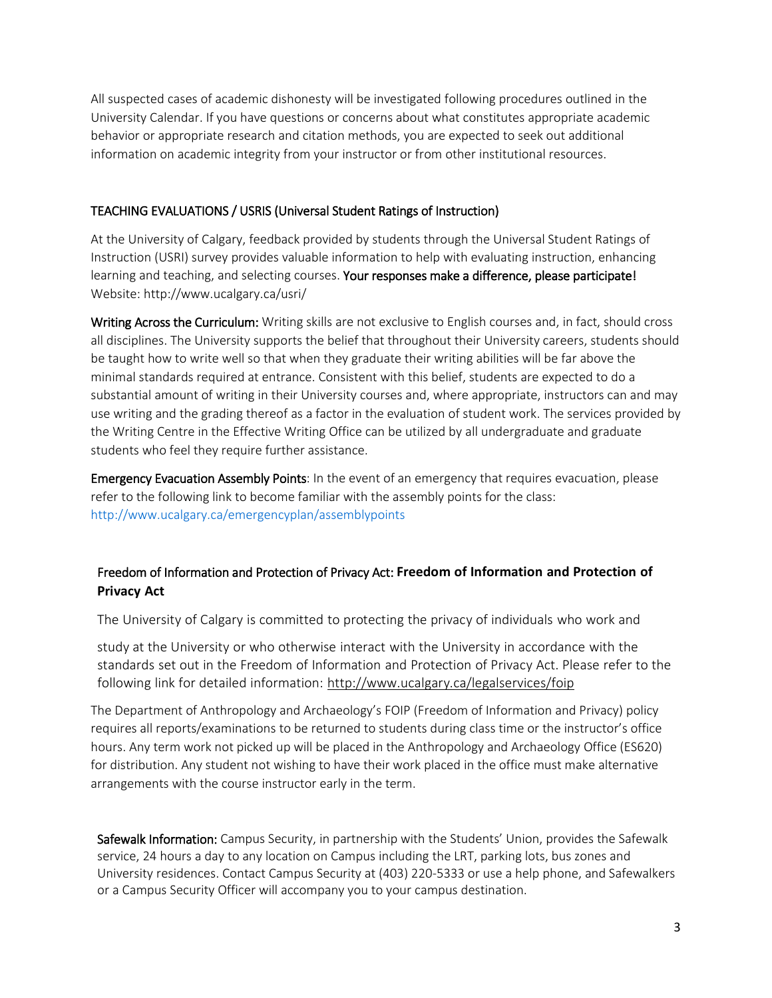All suspected cases of academic dishonesty will be investigated following procedures outlined in the University Calendar. If you have questions or concerns about what constitutes appropriate academic behavior or appropriate research and citation methods, you are expected to seek out additional information on academic integrity from your instructor or from other institutional resources.

#### TEACHING EVALUATIONS / USRIS (Universal Student Ratings of Instruction)

At the University of Calgary, feedback provided by students through the Universal Student Ratings of Instruction (USRI) survey provides valuable information to help with evaluating instruction, enhancing learning and teaching, and selecting courses. Your responses make a difference, please participate! Website: http://www.ucalgary.ca/usri/

Writing Across the Curriculum: Writing skills are not exclusive to English courses and, in fact, should cross all disciplines. The University supports the belief that throughout their University careers, students should be taught how to write well so that when they graduate their writing abilities will be far above the minimal standards required at entrance. Consistent with this belief, students are expected to do a substantial amount of writing in their University courses and, where appropriate, instructors can and may use writing and the grading thereof as a factor in the evaluation of student work. The services provided by the Writing Centre in the Effective Writing Office can be utilized by all undergraduate and graduate students who feel they require further assistance.

Emergency Evacuation Assembly Points: In the event of an emergency that requires evacuation, please refer to the following link to become familiar with the assembly points for the class: <http://www.ucalgary.ca/emergencyplan/assemblypoints>

## Freedom of Information and Protection of Privacy Act: **Freedom of Information and Protection of Privacy Act**

The University of Calgary is committed to protecting the privacy of individuals who work and

study at the University or who otherwise interact with the University in accordance with the standards set out in the Freedom of Information and Protection of Privacy Act. Please refer to the following link for detailed information: <http://www.ucalgary.ca/legalservices/foip>

The Department of Anthropology and Archaeology's FOIP (Freedom of Information and Privacy) policy requires all reports/examinations to be returned to students during class time or the instructor's office hours. Any term work not picked up will be placed in the Anthropology and Archaeology Office (ES620) for distribution. Any student not wishing to have their work placed in the office must make alternative arrangements with the course instructor early in the term.

Safewalk Information: Campus Security, in partnership with the Students' Union, provides the Safewalk service, 24 hours a day to any location on Campus including the LRT, parking lots, bus zones and University residences. Contact Campus Security at (403) 220-5333 or use a help phone, and Safewalkers or a Campus Security Officer will accompany you to your campus destination.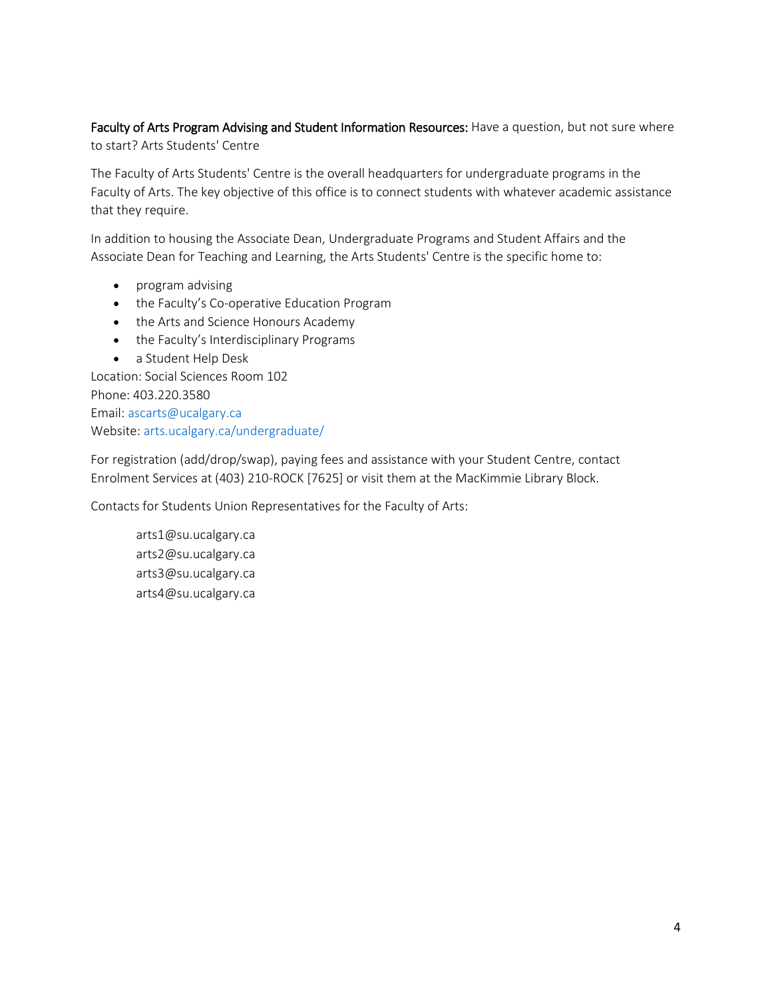## Faculty of Arts Program Advising and Student Information Resources: Have a question, but not sure where to start? Arts Students' Centre

The Faculty of Arts Students' Centre is the overall headquarters for undergraduate programs in the Faculty of Arts. The key objective of this office is to connect students with whatever academic assistance that they require.

In addition to housing the Associate Dean, Undergraduate Programs and Student Affairs and the Associate Dean for Teaching and Learning, the Arts Students' Centre is the specific home to:

- program advising
- the Faculty's Co-operative Education Program
- the Arts and Science Honours Academy
- the Faculty's Interdisciplinary Programs
- a Student Help Desk

Location: Social Sciences Room 102 Phone: 403.220.3580 Email[: ascarts@ucalgary.ca](http://ucalgary.ca/pubs/calendar/current/ascarts@ucalgary.ca) Website: [arts.ucalgary.ca/undergraduate/](http://arts.ucalgary.ca/undergraduate/)

For registration (add/drop/swap), paying fees and assistance with your Student Centre, contact Enrolment Services at (403) 210-ROCK [7625] or visit them at the MacKimmie Library Block.

Contacts for Students Union Representatives for the Faculty of Arts:

arts1@su.ucalgary.ca arts2@su.ucalgary.ca arts3@su.ucalgary.ca arts4@su.ucalgary.ca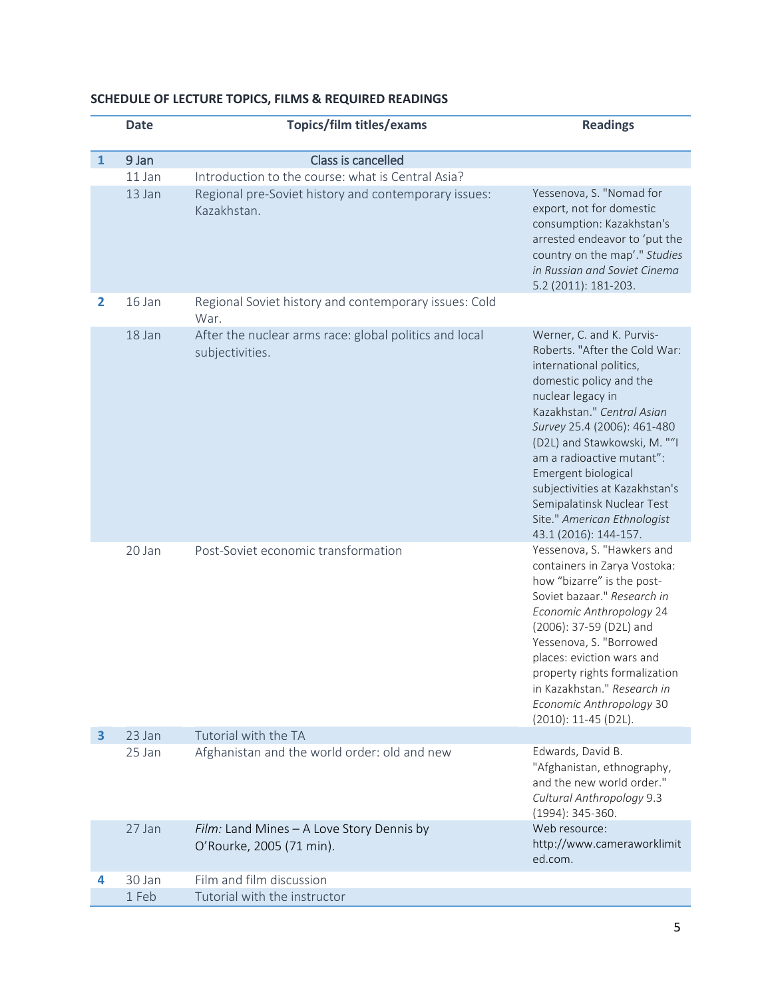|              | <b>Date</b> | <b>Topics/film titles/exams</b>                                           | <b>Readings</b>                                                                                                                                                                                                                                                                                                                                                                                                |
|--------------|-------------|---------------------------------------------------------------------------|----------------------------------------------------------------------------------------------------------------------------------------------------------------------------------------------------------------------------------------------------------------------------------------------------------------------------------------------------------------------------------------------------------------|
| $\mathbf{1}$ | 9 Jan       | Class is cancelled                                                        |                                                                                                                                                                                                                                                                                                                                                                                                                |
|              | 11 Jan      | Introduction to the course: what is Central Asia?                         |                                                                                                                                                                                                                                                                                                                                                                                                                |
|              | 13 Jan      | Regional pre-Soviet history and contemporary issues:<br>Kazakhstan.       | Yessenova, S. "Nomad for<br>export, not for domestic<br>consumption: Kazakhstan's<br>arrested endeavor to 'put the<br>country on the map'." Studies<br>in Russian and Soviet Cinema<br>5.2 (2011): 181-203.                                                                                                                                                                                                    |
| 2            | 16 Jan      | Regional Soviet history and contemporary issues: Cold<br>War.             |                                                                                                                                                                                                                                                                                                                                                                                                                |
|              | 18 Jan      | After the nuclear arms race: global politics and local<br>subjectivities. | Werner, C. and K. Purvis-<br>Roberts. "After the Cold War:<br>international politics,<br>domestic policy and the<br>nuclear legacy in<br>Kazakhstan." Central Asian<br>Survey 25.4 (2006): 461-480<br>(D2L) and Stawkowski, M. ""I<br>am a radioactive mutant":<br>Emergent biological<br>subjectivities at Kazakhstan's<br>Semipalatinsk Nuclear Test<br>Site." American Ethnologist<br>43.1 (2016): 144-157. |
|              | 20 Jan      | Post-Soviet economic transformation                                       | Yessenova, S. "Hawkers and<br>containers in Zarya Vostoka:<br>how "bizarre" is the post-<br>Soviet bazaar." Research in<br>Economic Anthropology 24<br>(2006): 37-59 (D2L) and<br>Yessenova, S. "Borrowed<br>places: eviction wars and<br>property rights formalization<br>in Kazakhstan." Research in<br>Economic Anthropology 30<br>(2010): 11-45 (D2L).                                                     |
| 3            | 23 Jan      | Tutorial with the TA                                                      |                                                                                                                                                                                                                                                                                                                                                                                                                |
|              | 25 Jan      | Afghanistan and the world order: old and new                              | Edwards, David B.<br>"Afghanistan, ethnography,<br>and the new world order."<br>Cultural Anthropology 9.3<br>(1994): 345-360.                                                                                                                                                                                                                                                                                  |
|              | 27 Jan      | Film: Land Mines - A Love Story Dennis by<br>O'Rourke, 2005 (71 min).     | Web resource:<br>http://www.cameraworklimit<br>ed.com.                                                                                                                                                                                                                                                                                                                                                         |
|              | 30 Jan      | Film and film discussion                                                  |                                                                                                                                                                                                                                                                                                                                                                                                                |
|              | 1 Feb       | Tutorial with the instructor                                              |                                                                                                                                                                                                                                                                                                                                                                                                                |

## **SCHEDULE OF LECTURE TOPICS, FILMS & REQUIRED READINGS**